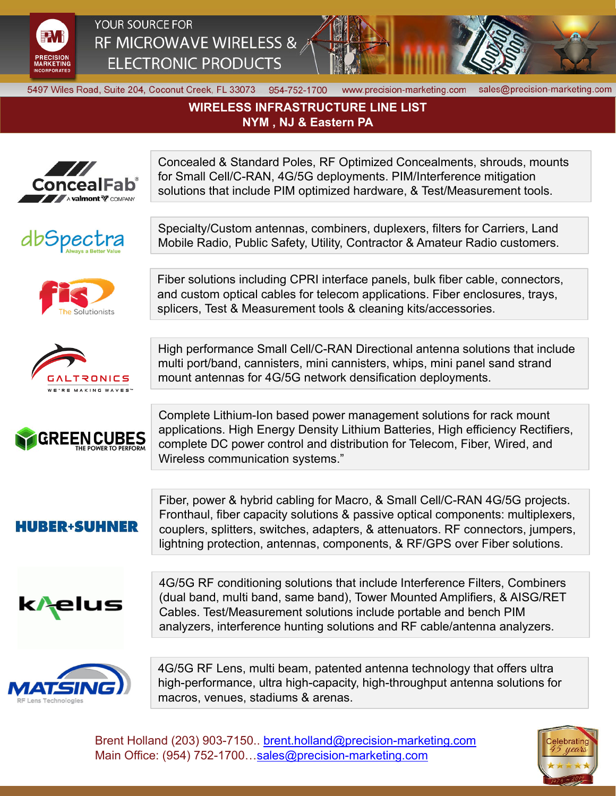

YOUR SOURCE FOR RF MICROWAVE WIRELESS & **ELECTRONIC PRODUCTS** 



5497 Wiles Road, Suite 204, Coconut Creek, FL 33073 954-752-1700

www.precision-marketing.com sales@precision-marketing.com

## **WIRELESS INFRASTRUCTURE LINE LIST NYM , NJ & Eastern PA**









**GREEN CUBES** 

for Small Cell/C-RAN, 4G/5G deployments. PIM/Interference mitigation solutions that include PIM optimized hardware, & Test/Measurement tools.

Concealed & Standard Poles, RF Optimized Concealments, shrouds, mounts

Specialty/Custom antennas, combiners, duplexers, filters for Carriers, Land Mobile Radio, Public Safety, Utility, Contractor & Amateur Radio customers.

Fiber solutions including CPRI interface panels, bulk fiber cable, connectors, and custom optical cables for telecom applications. Fiber enclosures, trays, splicers, Test & Measurement tools & cleaning kits/accessories.

High performance Small Cell/C-RAN Directional antenna solutions that include multi port/band, cannisters, mini cannisters, whips, mini panel sand strand mount antennas for 4G/5G network densification deployments.

Complete Lithium-Ion based power management solutions for rack mount applications. High Energy Density Lithium Batteries, High efficiency Rectifiers, complete DC power control and distribution for Telecom, Fiber, Wired, and Wireless communication systems."

**HUBER+SUHNER** 

Fiber, power & hybrid cabling for Macro, & Small Cell/C-RAN 4G/5G projects. Fronthaul, fiber capacity solutions & passive optical components: multiplexers, couplers, splitters, switches, adapters, & attenuators. RF connectors, jumpers, lightning protection, antennas, components, & RF/GPS over Fiber solutions.



4G/5G RF conditioning solutions that include Interference Filters, Combiners (dual band, multi band, same band), Tower Mounted Amplifiers, & AISG/RET Cables. Test/Measurement solutions include portable and bench PIM analyzers, interference hunting solutions and RF cable/antenna analyzers.



4G/5G RF Lens, multi beam, patented antenna technology that offers ultra high-performance, ultra high-capacity, high-throughput antenna solutions for macros, venues, stadiums & arenas.

Brent Holland (203) 903-7150.. brent.holland@precision-marketing.com Main Office: (954) 752-1700...sales@precision-marketing.com